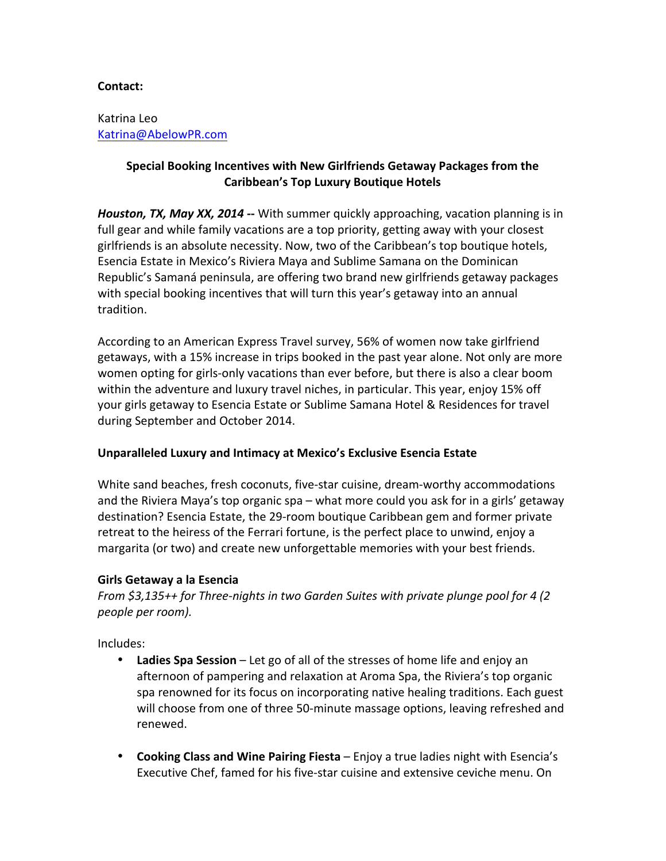### **Contact:**

Katrina Leo Katrina@AbelowPR.com

# **Special Booking Incentives with New Girlfriends Getaway Packages from the Caribbean's Top Luxury Boutique Hotels**

*Houston, TX, May XX, 2014* -- With summer quickly approaching, vacation planning is in full gear and while family vacations are a top priority, getting away with your closest girlfriends is an absolute necessity. Now, two of the Caribbean's top boutique hotels, Esencia Estate in Mexico's Riviera Maya and Sublime Samana on the Dominican Republic's Samaná peninsula, are offering two brand new girlfriends getaway packages with special booking incentives that will turn this year's getaway into an annual tradition.

According to an American Express Travel survey, 56% of women now take girlfriend getaways, with a 15% increase in trips booked in the past year alone. Not only are more women opting for girls-only vacations than ever before, but there is also a clear boom within the adventure and luxury travel niches, in particular. This year, enjoy 15% off your girls getaway to Esencia Estate or Sublime Samana Hotel & Residences for travel during September and October 2014.

# Unparalleled Luxury and Intimacy at Mexico's Exclusive Esencia Estate

White sand beaches, fresh coconuts, five-star cuisine, dream-worthy accommodations and the Riviera Maya's top organic spa – what more could you ask for in a girls' getaway destination? Esencia Estate, the 29-room boutique Caribbean gem and former private retreat to the heiress of the Ferrari fortune, is the perfect place to unwind, enjoy a margarita (or two) and create new unforgettable memories with your best friends.

#### **Girls Getaway a la Esencia**

*From* \$3,135++ for Three-nights in two Garden Suites with private plunge pool for 4 (2) *people per room).* 

Includes:

- Ladies Spa Session Let go of all of the stresses of home life and enjoy an afternoon of pampering and relaxation at Aroma Spa, the Riviera's top organic spa renowned for its focus on incorporating native healing traditions. Each guest will choose from one of three 50-minute massage options, leaving refreshed and renewed.
- **Cooking Class and Wine Pairing Fiesta** Enjoy a true ladies night with Esencia's Executive Chef, famed for his five-star cuisine and extensive ceviche menu. On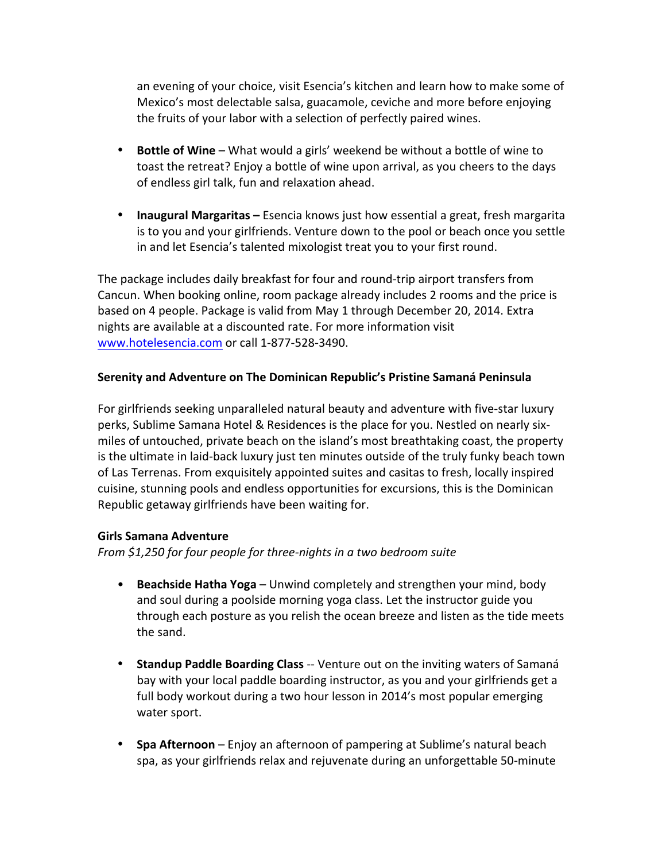an evening of your choice, visit Esencia's kitchen and learn how to make some of Mexico's most delectable salsa, guacamole, ceviche and more before enjoying the fruits of your labor with a selection of perfectly paired wines.

- **Bottle of Wine** What would a girls' weekend be without a bottle of wine to toast the retreat? Enjoy a bottle of wine upon arrival, as you cheers to the days of endless girl talk, fun and relaxation ahead.
- **Inaugural Margaritas** Esencia knows just how essential a great, fresh margarita is to you and your girlfriends. Venture down to the pool or beach once you settle in and let Esencia's talented mixologist treat you to your first round.

The package includes daily breakfast for four and round-trip airport transfers from Cancun. When booking online, room package already includes 2 rooms and the price is based on 4 people. Package is valid from May 1 through December 20, 2014. Extra nights are available at a discounted rate. For more information visit www.hotelesencia.com or call 1-877-528-3490.

# **Serenity and Adventure on The Dominican Republic's Pristine Samaná Peninsula**

For girlfriends seeking unparalleled natural beauty and adventure with five-star luxury perks, Sublime Samana Hotel & Residences is the place for you. Nestled on nearly sixmiles of untouched, private beach on the island's most breathtaking coast, the property is the ultimate in laid-back luxury just ten minutes outside of the truly funky beach town of Las Terrenas. From exquisitely appointed suites and casitas to fresh, locally inspired cuisine, stunning pools and endless opportunities for excursions, this is the Dominican Republic getaway girlfriends have been waiting for.

# **Girls Samana Adventure**

*From* \$1,250 for four people for three-nights in a two bedroom suite

- **Beachside Hatha Yoga** Unwind completely and strengthen your mind, body and soul during a poolside morning yoga class. Let the instructor guide you through each posture as you relish the ocean breeze and listen as the tide meets the sand.
- Standup Paddle Boarding Class -- Venture out on the inviting waters of Samaná bay with your local paddle boarding instructor, as you and your girlfriends get a full body workout during a two hour lesson in 2014's most popular emerging water sport.
- **Spa Afternoon** Enjoy an afternoon of pampering at Sublime's natural beach spa, as your girlfriends relax and rejuvenate during an unforgettable 50-minute